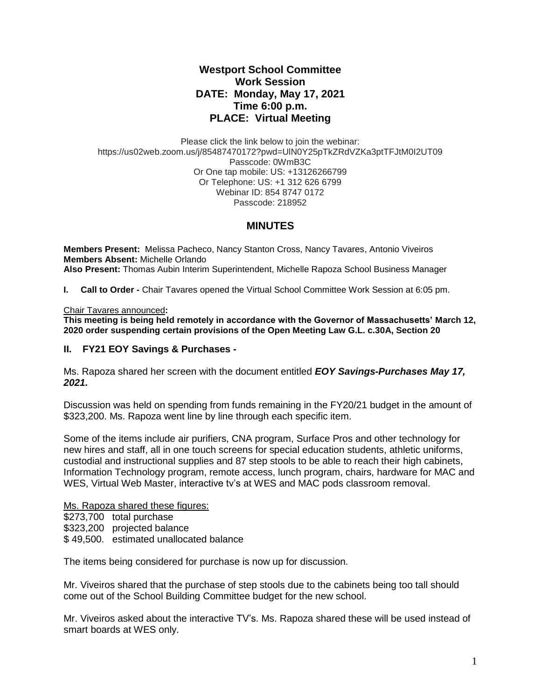# **Westport School Committee Work Session DATE: Monday, May 17, 2021 Time 6:00 p.m. PLACE: Virtual Meeting**

Please click the link below to join the webinar: https://us02web.zoom.us/j/85487470172?pwd=UlN0Y25pTkZRdVZKa3ptTFJtM0I2UT09 Passcode: 0WmB3C Or One tap mobile: US: +13126266799 Or Telephone: US: +1 312 626 6799 Webinar ID: 854 8747 0172 Passcode: 218952

### **MINUTES**

**Members Present:** Melissa Pacheco, Nancy Stanton Cross, Nancy Tavares, Antonio Viveiros **Members Absent:** Michelle Orlando **Also Present:** Thomas Aubin Interim Superintendent, Michelle Rapoza School Business Manager

**I. Call to Order -** Chair Tavares opened the Virtual School Committee Work Session at 6:05 pm.

### Chair Tavares announced**:**

**This meeting is being held remotely in accordance with the Governor of Massachusetts' March 12, 2020 order suspending certain provisions of the Open Meeting Law G.L. c.30A, Section 20**

## **II. FY21 EOY Savings & Purchases -**

Ms. Rapoza shared her screen with the document entitled *EOY Savings-Purchases May 17, 2021.*

Discussion was held on spending from funds remaining in the FY20/21 budget in the amount of \$323,200. Ms. Rapoza went line by line through each specific item.

Some of the items include air purifiers, CNA program, Surface Pros and other technology for new hires and staff, all in one touch screens for special education students, athletic uniforms, custodial and instructional supplies and 87 step stools to be able to reach their high cabinets, Information Technology program, remote access, lunch program, chairs, hardware for MAC and WES, Virtual Web Master, interactive tv's at WES and MAC pods classroom removal.

#### Ms. Rapoza shared these figures:

\$273,700 total purchase \$323,200 projected balance

\$ 49,500. estimated unallocated balance

The items being considered for purchase is now up for discussion.

Mr. Viveiros shared that the purchase of step stools due to the cabinets being too tall should come out of the School Building Committee budget for the new school.

Mr. Viveiros asked about the interactive TV's. Ms. Rapoza shared these will be used instead of smart boards at WES only.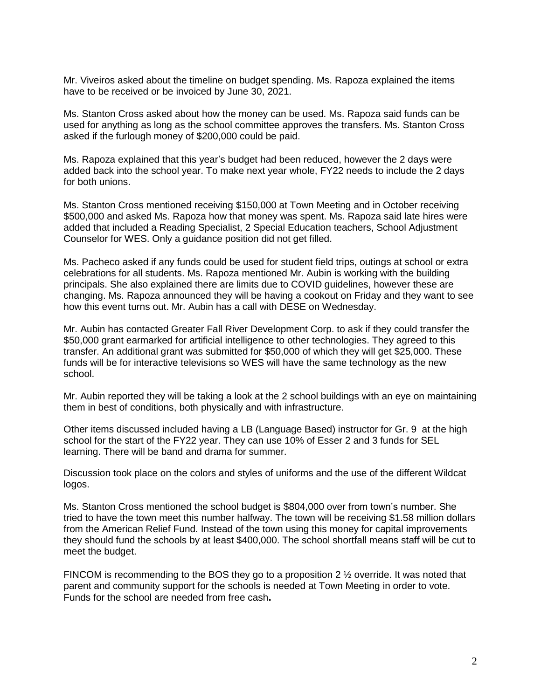Mr. Viveiros asked about the timeline on budget spending. Ms. Rapoza explained the items have to be received or be invoiced by June 30, 2021.

Ms. Stanton Cross asked about how the money can be used. Ms. Rapoza said funds can be used for anything as long as the school committee approves the transfers. Ms. Stanton Cross asked if the furlough money of \$200,000 could be paid.

Ms. Rapoza explained that this year's budget had been reduced, however the 2 days were added back into the school year. To make next year whole, FY22 needs to include the 2 days for both unions.

Ms. Stanton Cross mentioned receiving \$150,000 at Town Meeting and in October receiving \$500,000 and asked Ms. Rapoza how that money was spent. Ms. Rapoza said late hires were added that included a Reading Specialist, 2 Special Education teachers, School Adjustment Counselor for WES. Only a guidance position did not get filled.

Ms. Pacheco asked if any funds could be used for student field trips, outings at school or extra celebrations for all students. Ms. Rapoza mentioned Mr. Aubin is working with the building principals. She also explained there are limits due to COVID guidelines, however these are changing. Ms. Rapoza announced they will be having a cookout on Friday and they want to see how this event turns out. Mr. Aubin has a call with DESE on Wednesday.

Mr. Aubin has contacted Greater Fall River Development Corp. to ask if they could transfer the \$50,000 grant earmarked for artificial intelligence to other technologies. They agreed to this transfer. An additional grant was submitted for \$50,000 of which they will get \$25,000. These funds will be for interactive televisions so WES will have the same technology as the new school.

Mr. Aubin reported they will be taking a look at the 2 school buildings with an eye on maintaining them in best of conditions, both physically and with infrastructure.

Other items discussed included having a LB (Language Based) instructor for Gr. 9 at the high school for the start of the FY22 year. They can use 10% of Esser 2 and 3 funds for SEL learning. There will be band and drama for summer.

Discussion took place on the colors and styles of uniforms and the use of the different Wildcat logos.

Ms. Stanton Cross mentioned the school budget is \$804,000 over from town's number. She tried to have the town meet this number halfway. The town will be receiving \$1.58 million dollars from the American Relief Fund. Instead of the town using this money for capital improvements they should fund the schools by at least \$400,000. The school shortfall means staff will be cut to meet the budget.

FINCOM is recommending to the BOS they go to a proposition 2  $\frac{1}{2}$  override. It was noted that parent and community support for the schools is needed at Town Meeting in order to vote. Funds for the school are needed from free cash**.**